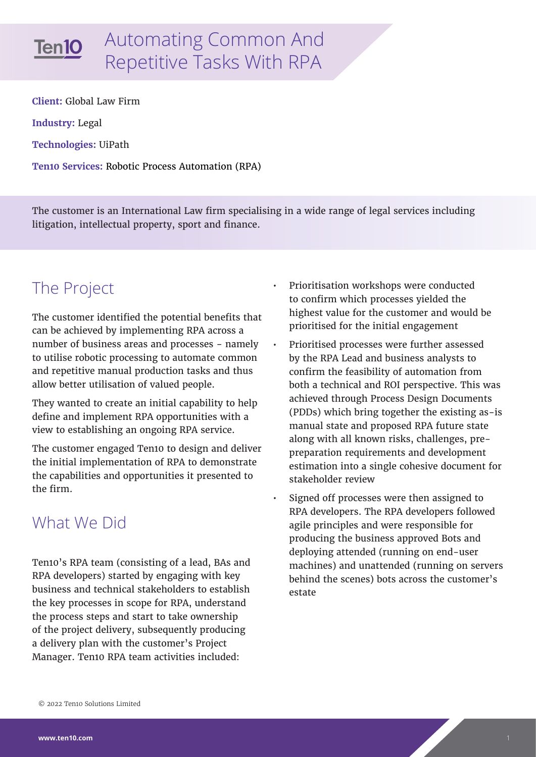

# Automating Common And Repetitive Tasks With RPA

**Client:** Global Law Firm **Industry:** Legal **Technologies:** UiPath **Ten10 Services:** Robotic Process Automation (RPA)

The customer is an International Law firm specialising in a wide range of legal services including litigation, intellectual property, sport and finance.

## The Project

The customer identified the potential benefits that can be achieved by implementing RPA across a number of business areas and processes - namely to utilise robotic processing to automate common and repetitive manual production tasks and thus allow better utilisation of valued people.

They wanted to create an initial capability to help define and implement RPA opportunities with a view to establishing an ongoing RPA service.

The customer engaged Ten10 to design and deliver the initial implementation of RPA to demonstrate the capabilities and opportunities it presented to the firm.

### What We Did

Ten10's RPA team (consisting of a lead, BAs and RPA developers) started by engaging with key business and technical stakeholders to establish the key processes in scope for RPA, understand the process steps and start to take ownership of the project delivery, subsequently producing a delivery plan with the customer's Project Manager. Ten10 RPA team activities included:

- Prioritisation workshops were conducted to confirm which processes yielded the highest value for the customer and would be prioritised for the initial engagement
- Prioritised processes were further assessed by the RPA Lead and business analysts to confirm the feasibility of automation from both a technical and ROI perspective. This was achieved through Process Design Documents (PDDs) which bring together the existing as-is manual state and proposed RPA future state along with all known risks, challenges, prepreparation requirements and development estimation into a single cohesive document for stakeholder review
- Signed off processes were then assigned to RPA developers. The RPA developers followed agile principles and were responsible for producing the business approved Bots and deploying attended (running on end-user machines) and unattended (running on servers behind the scenes) bots across the customer's estate

<sup>© 2022</sup> Ten10 Solutions Limited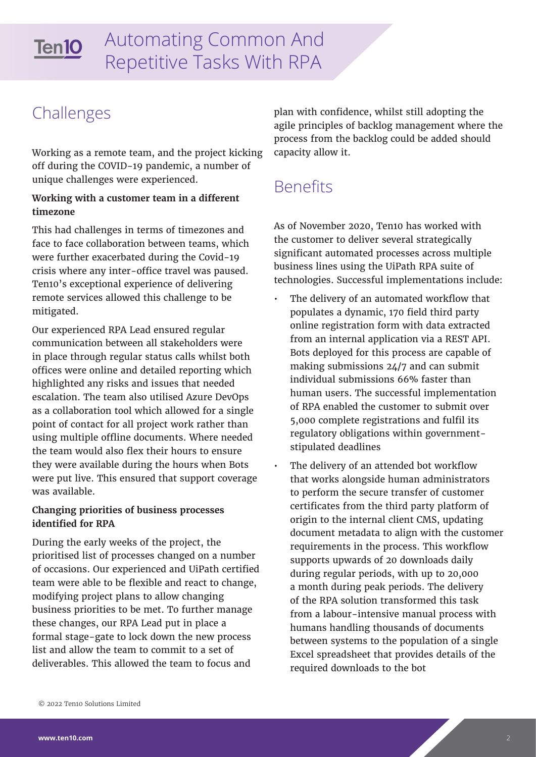#### Automating Common And Ten10 Repetitive Tasks With RPA

### Challenges

Working as a remote team, and the project kicking off during the COVID-19 pandemic, a number of unique challenges were experienced.

#### **Working with a customer team in a different timezone**

This had challenges in terms of timezones and face to face collaboration between teams, which were further exacerbated during the Covid-19 crisis where any inter-office travel was paused. Ten10's exceptional experience of delivering remote services allowed this challenge to be mitigated.

Our experienced RPA Lead ensured regular communication between all stakeholders were in place through regular status calls whilst both offices were online and detailed reporting which highlighted any risks and issues that needed escalation. The team also utilised Azure DevOps as a collaboration tool which allowed for a single point of contact for all project work rather than using multiple offline documents. Where needed the team would also flex their hours to ensure they were available during the hours when Bots were put live. This ensured that support coverage was available.

#### **Changing priorities of business processes identified for RPA**

During the early weeks of the project, the prioritised list of processes changed on a number of occasions. Our experienced and UiPath certified team were able to be flexible and react to change, modifying project plans to allow changing business priorities to be met. To further manage these changes, our RPA Lead put in place a formal stage-gate to lock down the new process list and allow the team to commit to a set of deliverables. This allowed the team to focus and

plan with confidence, whilst still adopting the agile principles of backlog management where the process from the backlog could be added should capacity allow it.

### Benefits

As of November 2020, Ten10 has worked with the customer to deliver several strategically significant automated processes across multiple business lines using the UiPath RPA suite of technologies. Successful implementations include:

- The delivery of an automated workflow that populates a dynamic, 170 field third party online registration form with data extracted from an internal application via a REST API. Bots deployed for this process are capable of making submissions 24/7 and can submit individual submissions 66% faster than human users. The successful implementation of RPA enabled the customer to submit over 5,000 complete registrations and fulfil its regulatory obligations within governmentstipulated deadlines
	- The delivery of an attended bot workflow that works alongside human administrators to perform the secure transfer of customer certificates from the third party platform of origin to the internal client CMS, updating document metadata to align with the customer requirements in the process. This workflow supports upwards of 20 downloads daily during regular periods, with up to 20,000 a month during peak periods. The delivery of the RPA solution transformed this task from a labour-intensive manual process with humans handling thousands of documents between systems to the population of a single Excel spreadsheet that provides details of the required downloads to the bot